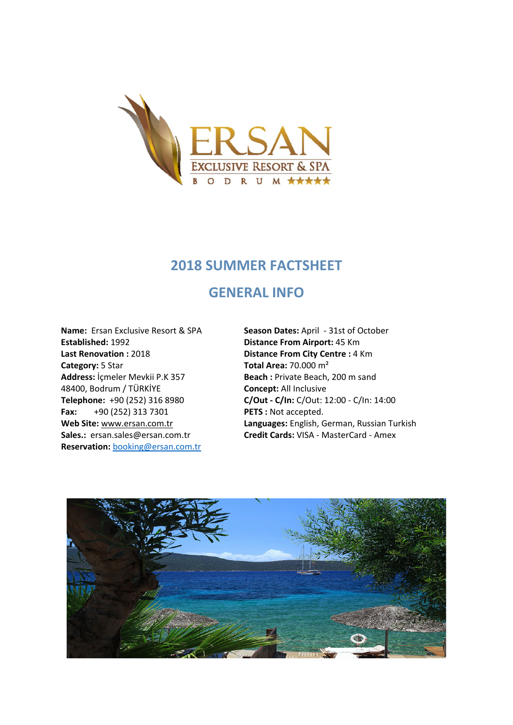

#### **2018 SUMMER FACTSHEET**

### **GENERAL INFO**

**Established:** 1992 **Distance From Airport:** 45 Km Last Renovation : 2018 **Distance From City Centre :** 4 Km **Category:** 5 Star **Total Area:** 70.000 m<sup>2</sup> **Address:** İçmeler Mevkii P.K 357 **Beach :** Private Beach, 200 m sand 48400, Bodrum / TÜRKİYE **Concept:** All Inclusive **Fax:** +90 (252) 313 7301 **PETS :** Not accepted. **Reservation:** [booking@ersan.com.tr](mailto:booking@ersan.com.tr)

**Name:** Ersan Exclusive Resort & SPA **Season Dates:** April - 31st of October **Telephone:** +90 (252) 316 8980 **C/Out - C/In:** C/Out: 12:00 - C/In: 14:00 **Web Site:** [www.ersan.com.tr](http://www.ersan.com.tr/) **Languages:** English, German, Russian Turkish **Sales.:** ersan.sales@ersan.com.tr **Credit Cards:** VISA - MasterCard - Amex

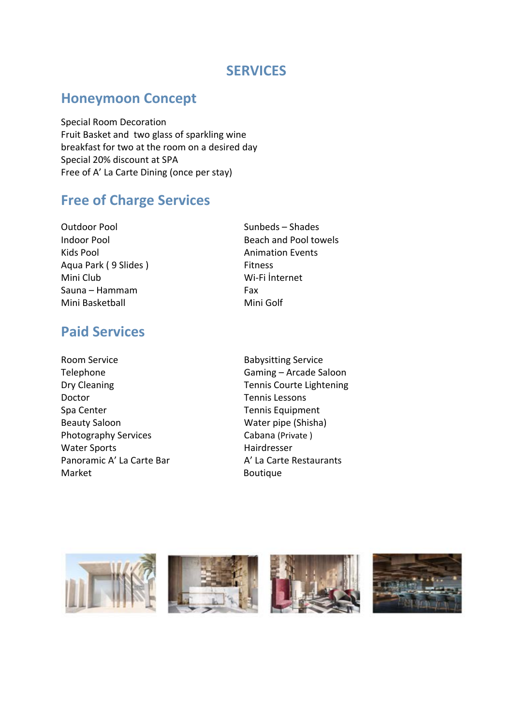### **SERVICES**

## **Honeymoon Concept**

Special Room Decoration Fruit Basket and two glass of sparkling wine breakfast for two at the room on a desired day Special 20% discount at SPA Free of A' La Carte Dining (once per stay)

## **Free of Charge Services**

- Outdoor Pool Sunbeds Shades Kids Pool **Animation Events** Aqua Park (9 Slides ) Fitness Mini Club Wi-Fi İnternet Sauna – Hammam Fax Mini Basketball Mini Golf
- Indoor Pool **Beach and Pool towels**

## **Paid Services**

Room Service **Babysitting Service** Telephone Gaming – Arcade Saloon Dry Cleaning Tennis Courte Lightening Doctor Tennis Lessons Spa Center Tennis Equipment Beauty Saloon Water pipe (Shisha) Photography Services Cabana (Private) Water Sports **Hairdresser** Panoramic A' La Carte Bar A' La Carte Restaurants Market **Boutique** 

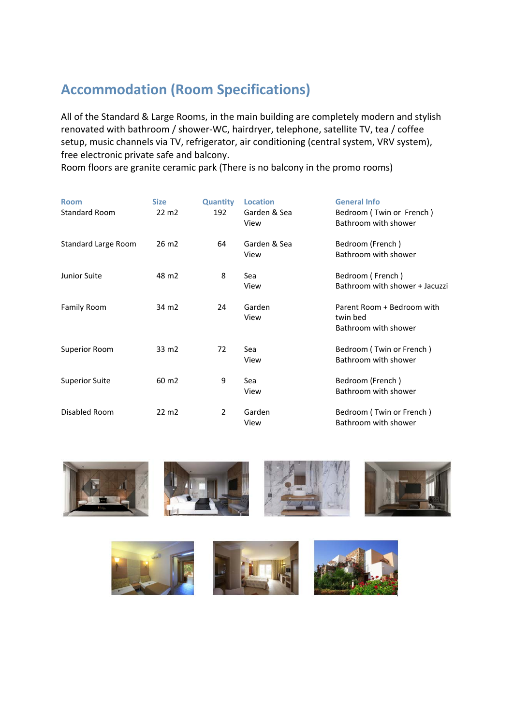# **Accommodation (Room Specifications)**

All of the Standard & Large Rooms, in the main building are completely modern and stylish renovated with bathroom / shower-WC, hairdryer, telephone, satellite TV, tea / coffee setup, music channels via TV, refrigerator, air conditioning (central system, VRV system), free electronic private safe and balcony.

Room floors are granite ceramic park (There is no balcony in the promo rooms)

| <b>Room</b><br><b>Standard Room</b> | <b>Size</b><br>22 m <sub>2</sub> | <b>Quantity</b><br>192 | <b>General Info</b><br><b>Location</b><br>Garden & Sea<br>Bedroom (Twin or French)<br>Bathroom with shower<br>View |                                                                |  |
|-------------------------------------|----------------------------------|------------------------|--------------------------------------------------------------------------------------------------------------------|----------------------------------------------------------------|--|
| Standard Large Room                 | 26 m <sub>2</sub>                | 64                     | Garden & Sea<br>View                                                                                               | Bedroom (French)<br>Bathroom with shower                       |  |
| Junior Suite                        | 48 m <sub>2</sub>                | 8                      | Sea<br>View                                                                                                        | Bedroom (French)<br>Bathroom with shower + Jacuzzi             |  |
| <b>Family Room</b>                  | 34 m <sub>2</sub>                | 24                     | Garden<br>View                                                                                                     | Parent Room + Bedroom with<br>twin bed<br>Bathroom with shower |  |
| Superior Room                       | 33 m <sub>2</sub>                | 72                     | Sea<br>View                                                                                                        | Bedroom (Twin or French)<br>Bathroom with shower               |  |
| <b>Superior Suite</b>               | 60 m <sub>2</sub>                | 9                      | Sea<br>View                                                                                                        | Bedroom (French)<br>Bathroom with shower                       |  |
| Disabled Room                       | 22 m <sub>2</sub>                | $\overline{2}$         | Garden<br>View                                                                                                     | Bedroom (Twin or French)<br>Bathroom with shower               |  |



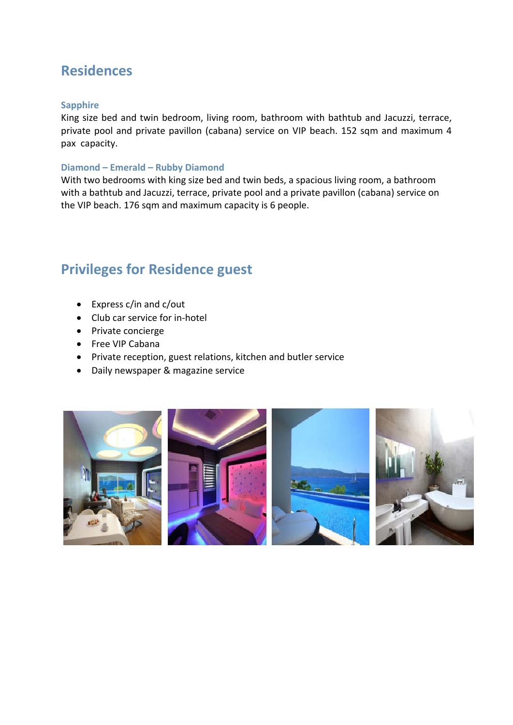## **Residences**

#### **Sapphire**

King size bed and twin bedroom, living room, bathroom with bathtub and Jacuzzi, terrace, private pool and private pavillon (cabana) service on VIP beach. 152 sqm and maximum 4 pax capacity.

#### **Diamond – Emerald – Rubby Diamond**

With two bedrooms with king size bed and twin beds, a spacious living room, a bathroom with a bathtub and Jacuzzi, terrace, private pool and a private pavillon (cabana) service on the VIP beach. 176 sqm and maximum capacity is 6 people.

## **Privileges for Residence guest**

- Express c/in and c/out
- Club car service for in-hotel
- Private concierge
- Free VIP Cabana
- Private reception, guest relations, kitchen and butler service
- Daily newspaper & magazine service

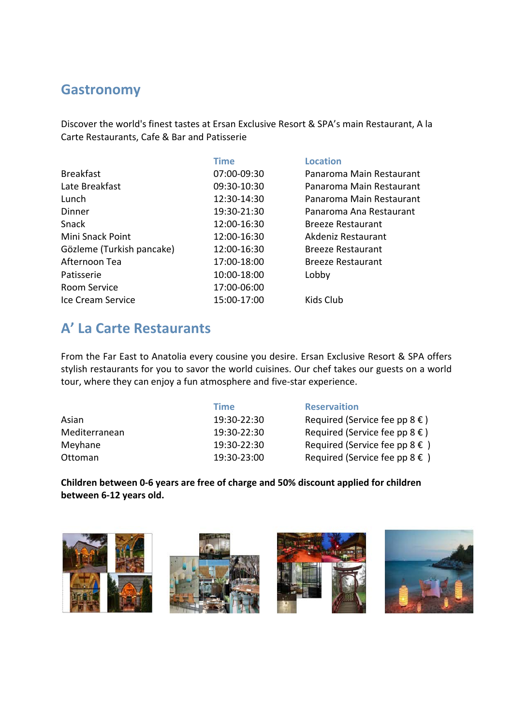## **Gastronomy**

Discover the world's finest tastes at Ersan Exclusive Resort & SPA's main Restaurant, A la Carte Restaurants, Cafe & Bar and Patisserie

|                           | <b>Time</b> | <b>Location</b>          |
|---------------------------|-------------|--------------------------|
| <b>Breakfast</b>          | 07:00-09:30 | Panaroma Main Restaurant |
| Late Breakfast            | 09:30-10:30 | Panaroma Main Restaurant |
| Lunch                     | 12:30-14:30 | Panaroma Main Restaurant |
| Dinner                    | 19:30-21:30 | Panaroma Ana Restaurant  |
| Snack                     | 12:00-16:30 | <b>Breeze Restaurant</b> |
| Mini Snack Point          | 12:00-16:30 | Akdeniz Restaurant       |
| Gözleme (Turkish pancake) | 12:00-16:30 | <b>Breeze Restaurant</b> |
| Afternoon Tea             | 17:00-18:00 | <b>Breeze Restaurant</b> |
| Patisserie                | 10:00-18:00 | Lobby                    |
| <b>Room Service</b>       | 17:00-06:00 |                          |
| Ice Cream Service         | 15:00-17:00 | Kids Club                |

# **A' La Carte Restaurants**

From the Far East to Anatolia every cousine you desire. Ersan Exclusive Resort & SPA offers stylish restaurants for you to savor the world cuisines. Our chef takes our guests on a world tour, where they can enjoy a fun atmosphere and five-star experience.

|               | Time        | <b>Reservaition</b>                          |
|---------------|-------------|----------------------------------------------|
| Asian         | 19:30-22:30 | Required (Service fee pp $8 \in$ )           |
| Mediterranean | 19:30-22:30 | Required (Service fee pp $8 \in$ )           |
| Meyhane       | 19:30-22:30 | Required (Service fee pp $8 \in \mathcal{S}$ |
| Ottoman       | 19:30-23:00 | Required (Service fee pp $8 \in \mathcal{S}$ |

**Children between 0-6 years are free of charge and 50% discount applied for children between 6-12 years old.**

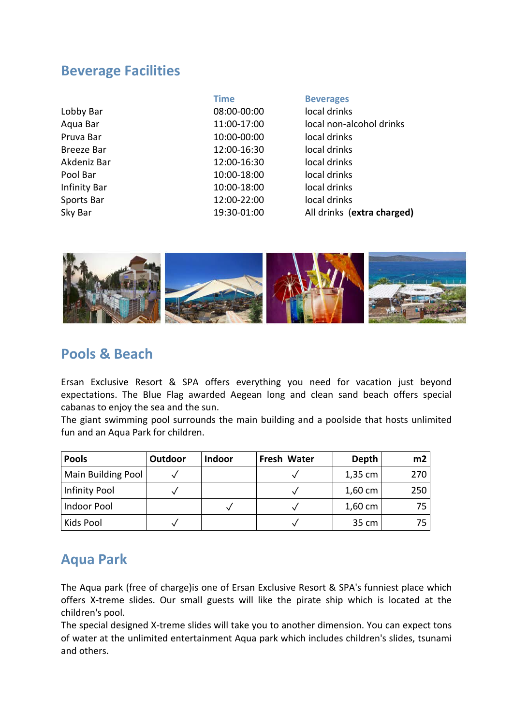### **Beverage Facilities**

|                     | <b>Time</b> | <b>Beverages</b>           |
|---------------------|-------------|----------------------------|
| Lobby Bar           | 08:00-00:00 | local drinks               |
| Aqua Bar            | 11:00-17:00 | local non-alcohol drinks   |
| Pruva Bar           | 10:00-00:00 | local drinks               |
| Breeze Bar          | 12:00-16:30 | local drinks               |
| Akdeniz Bar         | 12:00-16:30 | local drinks               |
| Pool Bar            | 10:00-18:00 | local drinks               |
| <b>Infinity Bar</b> | 10:00-18:00 | local drinks               |
| Sports Bar          | 12:00-22:00 | local drinks               |
| Sky Bar             | 19:30-01:00 | All drinks (extra charged) |



### **Pools & Beach**

Ersan Exclusive Resort & SPA offers everything you need for vacation just beyond expectations. The Blue Flag awarded Aegean long and clean sand beach offers special cabanas to enjoy the sea and the sun.

The giant swimming pool surrounds the main building and a poolside that hosts unlimited fun and an Aqua Park for children.

| <b>Pools</b>       | Outdoor | <b>Indoor</b> | Fresh Water | Depth             | m2  |
|--------------------|---------|---------------|-------------|-------------------|-----|
| Main Building Pool |         |               |             | 1,35 cm           | 270 |
| Infinity Pool      |         |               |             | 1,60 cm           | 250 |
| Indoor Pool        |         |               |             | $1,60 \text{ cm}$ | 75. |
| Kids Pool          |         |               |             | 35 cm             | 75. |

## **Aqua Park**

The Aqua park (free of charge)is one of Ersan Exclusive Resort & SPA's funniest place which offers X-treme slides. Our small guests will like the pirate ship which is located at the children's pool.

The special designed X-treme slides will take you to another dimension. You can expect tons of water at the unlimited entertainment Aqua park which includes children's slides, tsunami and others.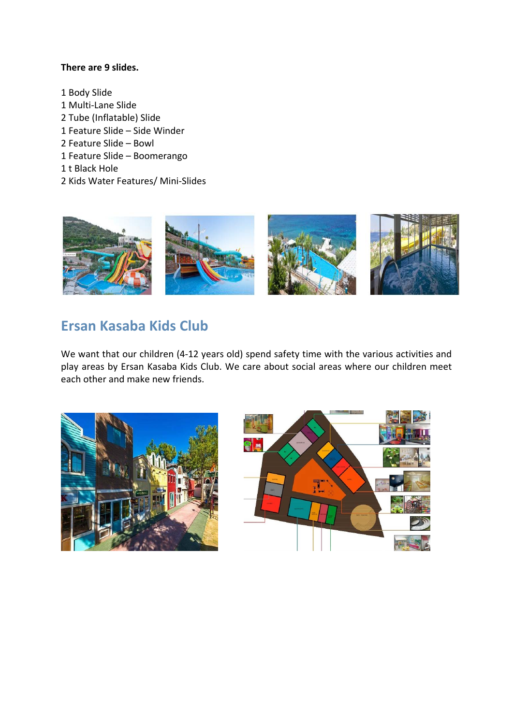#### **There are 9 slides.**

1 Body Slide 1 Multi-Lane Slide 2 Tube (Inflatable) Slide 1 Feature Slide – Side Winder 2 Feature Slide – Bowl 1 Feature Slide – Boomerango 1 t Black Hole 2 Kids Water Features/ Mini-Slides



### **Ersan Kasaba Kids Club**

We want that our children (4-12 years old) spend safety time with the various activities and play areas by Ersan Kasaba Kids Club. We care about social areas where our children meet each other and make new friends.



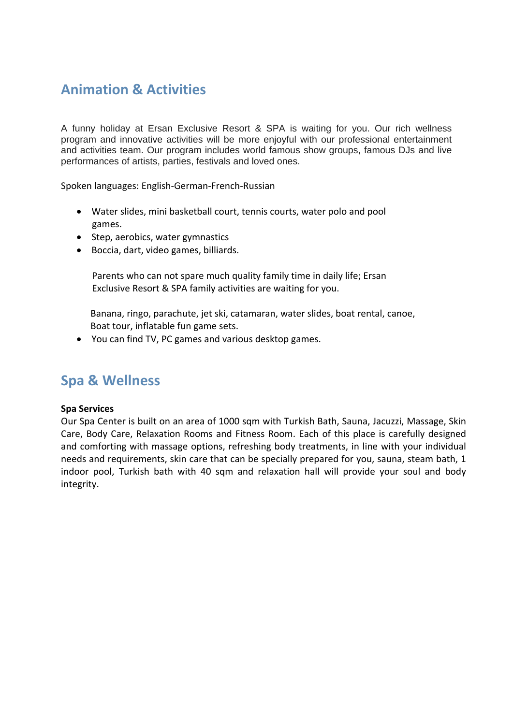## **Animation & Activities**

A funny holiday at Ersan Exclusive Resort & SPA is waiting for you. Our rich wellness program and innovative activities will be more enjoyful with our professional entertainment and activities team. Our program includes world famous show groups, famous DJs and live performances of artists, parties, festivals and loved ones.

Spoken languages: English-German-French-Russian

- Water slides, mini basketball court, tennis courts, water polo and pool games.
- Step, aerobics, water gymnastics
- Boccia, dart, video games, billiards.

Parents who can not spare much quality family time in daily life; Ersan Exclusive Resort & SPA family activities are waiting for you.

 Banana, ringo, parachute, jet ski, catamaran, water slides, boat rental, canoe, Boat tour, inflatable fun game sets.

• You can find TV, PC games and various desktop games.

### **Spa & Wellness**

#### **Spa Services**

Our Spa Center is built on an area of 1000 sqm with Turkish Bath, Sauna, Jacuzzi, Massage, Skin Care, Body Care, Relaxation Rooms and Fitness Room. Each of this place is carefully designed and comforting with massage options, refreshing body treatments, in line with your individual needs and requirements, skin care that can be specially prepared for you, sauna, steam bath, 1 indoor pool, Turkish bath with 40 sqm and relaxation hall will provide your soul and body integrity.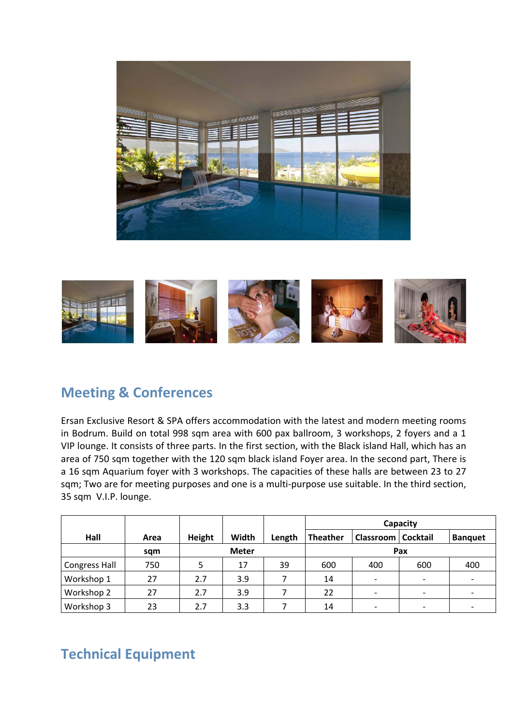



## **Meeting & Conferences**

Ersan Exclusive Resort & SPA offers accommodation with the latest and modern meeting rooms in Bodrum. Build on total 998 sqm area with 600 pax ballroom, 3 workshops, 2 foyers and a 1 VIP lounge. It consists of three parts. In the first section, with the Black island Hall, which has an area of 750 sqm together with the 120 sqm black island Foyer area. In the second part, There is a 16 sqm Aquarium foyer with 3 workshops. The capacities of these halls are between 23 to 27 sqm; Two are for meeting purposes and one is a multi-purpose use suitable. In the third section, 35 sqm V.I.P. lounge.

|               |      |              |       |        | Capacity        |                             |                          |                |
|---------------|------|--------------|-------|--------|-----------------|-----------------------------|--------------------------|----------------|
| Hall          | Area | Height       | Width | Length | <b>Theather</b> | <b>Classroom   Cocktail</b> |                          | <b>Banquet</b> |
|               | sqm  | <b>Meter</b> |       |        | Pax             |                             |                          |                |
| Congress Hall | 750  |              | 17    | 39     | 600             | 400                         | 600                      | 400            |
| Workshop 1    | 27   | 2.7          | 3.9   |        | 14              | $\overline{\phantom{a}}$    | $\overline{\phantom{a}}$ |                |
| Workshop 2    | 27   | 2.7          | 3.9   |        | 22              | $\overline{a}$              | $\overline{\phantom{a}}$ |                |
| Workshop 3    | 23   | 2.7          | 3.3   |        | 14              | $\overline{\phantom{0}}$    | $\overline{\phantom{a}}$ |                |

# **Technical Equipment**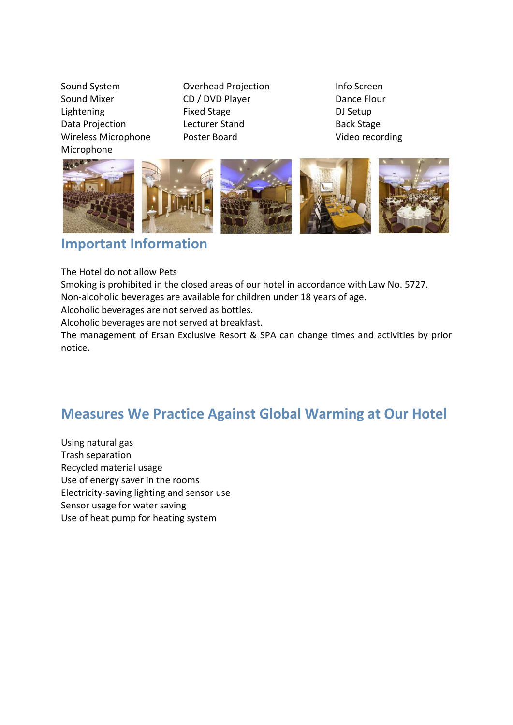Sound System **Overhead Projection** Info Screen Sound Mixer CD / DVD Player Dance Flour Lightening Fixed Stage **Fixed Stage** DJ Setup Data Projection **Lecturer Stand** Back Stage Wireless Microphone Poster Board Controller Video recording Microphone











# **Important Information**

The Hotel do not allow Pets

Smoking is prohibited in the closed areas of our hotel in accordance with Law No. 5727.

Non-alcoholic beverages are available for children under 18 years of age.

Alcoholic beverages are not served as bottles.

Alcoholic beverages are not served at breakfast.

The management of Ersan Exclusive Resort & SPA can change times and activities by prior notice.

## **Measures We Practice Against Global Warming at Our Hotel**

Using natural gas Trash separation Recycled material usage Use of energy saver in the rooms Electricity-saving lighting and sensor use Sensor usage for water saving Use of heat pump for heating system